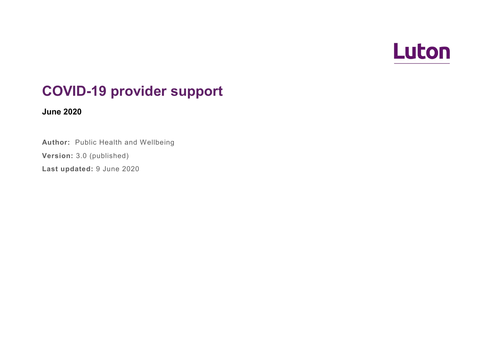

## **COVID-19 provider support**

**June 2020**

**Author:** Public Health and Wellbeing

**Version:** 3.0 (published)

**Last updated:** 9 June 2020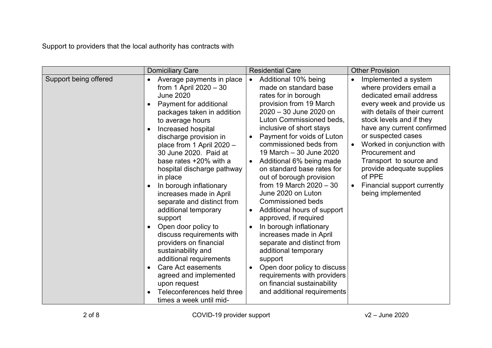Support to providers that the local authority has contracts with

|                       | <b>Domiciliary Care</b>                                                                                                                                                                                                                                                                                                                                                                                                                                                                                                                                                                                                                                                                                                                                                   | <b>Residential Care</b>                                                                                                                                                                                                                                                                                                                                                                                                                                                                                                                                                                                                                                                                                                                                                         | <b>Other Provision</b>                                                                                                                                                                                                                                                                                                                                                                                 |
|-----------------------|---------------------------------------------------------------------------------------------------------------------------------------------------------------------------------------------------------------------------------------------------------------------------------------------------------------------------------------------------------------------------------------------------------------------------------------------------------------------------------------------------------------------------------------------------------------------------------------------------------------------------------------------------------------------------------------------------------------------------------------------------------------------------|---------------------------------------------------------------------------------------------------------------------------------------------------------------------------------------------------------------------------------------------------------------------------------------------------------------------------------------------------------------------------------------------------------------------------------------------------------------------------------------------------------------------------------------------------------------------------------------------------------------------------------------------------------------------------------------------------------------------------------------------------------------------------------|--------------------------------------------------------------------------------------------------------------------------------------------------------------------------------------------------------------------------------------------------------------------------------------------------------------------------------------------------------------------------------------------------------|
| Support being offered | Average payments in place<br>$\bullet$<br>from 1 April $2020 - 30$<br><b>June 2020</b><br>Payment for additional<br>$\bullet$<br>packages taken in addition<br>to average hours<br>Increased hospital<br>discharge provision in<br>place from 1 April 2020 -<br>30 June 2020. Paid at<br>base rates +20% with a<br>hospital discharge pathway<br>in place<br>In borough inflationary<br>increases made in April<br>separate and distinct from<br>additional temporary<br>support<br>Open door policy to<br>$\bullet$<br>discuss requirements with<br>providers on financial<br>sustainability and<br>additional requirements<br><b>Care Act easements</b><br>$\bullet$<br>agreed and implemented<br>upon request<br>Teleconferences held three<br>times a week until mid- | Additional 10% being<br>$\bullet$<br>made on standard base<br>rates for in borough<br>provision from 19 March<br>2020 - 30 June 2020 on<br>Luton Commissioned beds,<br>inclusive of short stays<br>Payment for voids of Luton<br>commissioned beds from<br>19 March - 30 June 2020<br>Additional 6% being made<br>on standard base rates for<br>out of borough provision<br>from 19 March $2020 - 30$<br>June 2020 on Luton<br><b>Commissioned beds</b><br>Additional hours of support<br>$\bullet$<br>approved, if required<br>In borough inflationary<br>increases made in April<br>separate and distinct from<br>additional temporary<br>support<br>Open door policy to discuss<br>requirements with providers<br>on financial sustainability<br>and additional requirements | Implemented a system<br>where providers email a<br>dedicated email address<br>every week and provide us<br>with details of their current<br>stock levels and if they<br>have any current confirmed<br>or suspected cases<br>Worked in conjunction with<br><b>Procurement and</b><br>Transport to source and<br>provide adequate supplies<br>of PPE<br>Financial support currently<br>being implemented |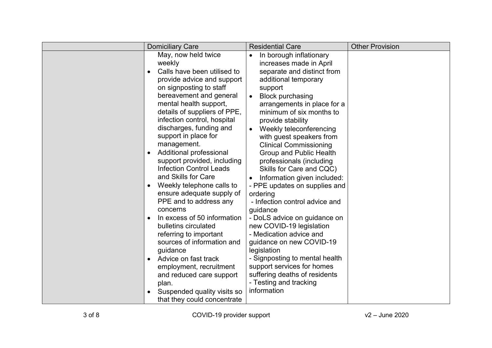| <b>Domiciliary Care</b>                                                                                                                                                                                                                                                                                                                                                                                                                                                                                                                                                                                                                                                                                                                                                                                                                                             | <b>Residential Care</b>                                                                                                                                                                                                                                                                                                                                                                                                                                                                                                                                                                                                                                                                                                                                                                                                             | <b>Other Provision</b> |
|---------------------------------------------------------------------------------------------------------------------------------------------------------------------------------------------------------------------------------------------------------------------------------------------------------------------------------------------------------------------------------------------------------------------------------------------------------------------------------------------------------------------------------------------------------------------------------------------------------------------------------------------------------------------------------------------------------------------------------------------------------------------------------------------------------------------------------------------------------------------|-------------------------------------------------------------------------------------------------------------------------------------------------------------------------------------------------------------------------------------------------------------------------------------------------------------------------------------------------------------------------------------------------------------------------------------------------------------------------------------------------------------------------------------------------------------------------------------------------------------------------------------------------------------------------------------------------------------------------------------------------------------------------------------------------------------------------------------|------------------------|
| May, now held twice<br>weekly<br>Calls have been utilised to<br>$\bullet$<br>provide advice and support<br>on signposting to staff<br>bereavement and general<br>mental health support,<br>details of suppliers of PPE,<br>infection control, hospital<br>discharges, funding and<br>support in place for<br>management.<br>Additional professional<br>$\bullet$<br>support provided, including<br><b>Infection Control Leads</b><br>and Skills for Care<br>Weekly telephone calls to<br>ensure adequate supply of<br>PPE and to address any<br>concerns<br>In excess of 50 information<br>$\bullet$<br>bulletins circulated<br>referring to important<br>sources of information and<br>guidance<br>Advice on fast track<br>$\bullet$<br>employment, recruitment<br>and reduced care support<br>plan.<br>Suspended quality visits so<br>that they could concentrate | In borough inflationary<br>increases made in April<br>separate and distinct from<br>additional temporary<br>support<br><b>Block purchasing</b><br>$\bullet$<br>arrangements in place for a<br>minimum of six months to<br>provide stability<br>Weekly teleconferencing<br>with guest speakers from<br><b>Clinical Commissioning</b><br><b>Group and Public Health</b><br>professionals (including<br>Skills for Care and CQC)<br>Information given included:<br>- PPE updates on supplies and<br>ordering<br>- Infection control advice and<br>guidance<br>- DoLS advice on guidance on<br>new COVID-19 legislation<br>- Medication advice and<br>guidance on new COVID-19<br>legislation<br>- Signposting to mental health<br>support services for homes<br>suffering deaths of residents<br>- Testing and tracking<br>information |                        |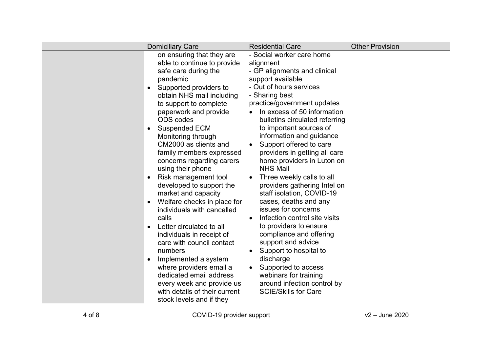| <b>Domiciliary Care</b>                                                                                                                                                                                                                                                                                                                                                                                                                                                                                                                                                                                                                                                                                                                                                                                                                                                    | <b>Residential Care</b>                                                                                                                                                                                                                                                                                                                                                                                                                                                                                                                                                                                                                                                                                                                                                                                                                                                     | <b>Other Provision</b> |
|----------------------------------------------------------------------------------------------------------------------------------------------------------------------------------------------------------------------------------------------------------------------------------------------------------------------------------------------------------------------------------------------------------------------------------------------------------------------------------------------------------------------------------------------------------------------------------------------------------------------------------------------------------------------------------------------------------------------------------------------------------------------------------------------------------------------------------------------------------------------------|-----------------------------------------------------------------------------------------------------------------------------------------------------------------------------------------------------------------------------------------------------------------------------------------------------------------------------------------------------------------------------------------------------------------------------------------------------------------------------------------------------------------------------------------------------------------------------------------------------------------------------------------------------------------------------------------------------------------------------------------------------------------------------------------------------------------------------------------------------------------------------|------------------------|
| on ensuring that they are<br>able to continue to provide<br>safe care during the<br>pandemic<br>Supported providers to<br>$\bullet$<br>obtain NHS mail including<br>to support to complete<br>paperwork and provide<br><b>ODS</b> codes<br><b>Suspended ECM</b><br>$\bullet$<br>Monitoring through<br>CM2000 as clients and<br>family members expressed<br>concerns regarding carers<br>using their phone<br>Risk management tool<br>$\bullet$<br>developed to support the<br>market and capacity<br>Welfare checks in place for<br>$\bullet$<br>individuals with cancelled<br>calls<br>Letter circulated to all<br>$\bullet$<br>individuals in receipt of<br>care with council contact<br>numbers<br>Implemented a system<br>where providers email a<br>dedicated email address<br>every week and provide us<br>with details of their current<br>stock levels and if they | - Social worker care home<br>alignment<br>- GP alignments and clinical<br>support available<br>- Out of hours services<br>- Sharing best<br>practice/government updates<br>In excess of 50 information<br>bulletins circulated referring<br>to important sources of<br>information and guidance<br>Support offered to care<br>$\bullet$<br>providers in getting all care<br>home providers in Luton on<br><b>NHS Mail</b><br>Three weekly calls to all<br>$\bullet$<br>providers gathering Intel on<br>staff isolation, COVID-19<br>cases, deaths and any<br>issues for concerns<br>Infection control site visits<br>to providers to ensure<br>compliance and offering<br>support and advice<br>Support to hospital to<br>$\bullet$<br>discharge<br>Supported to access<br>$\bullet$<br>webinars for training<br>around infection control by<br><b>SCIE/Skills for Care</b> |                        |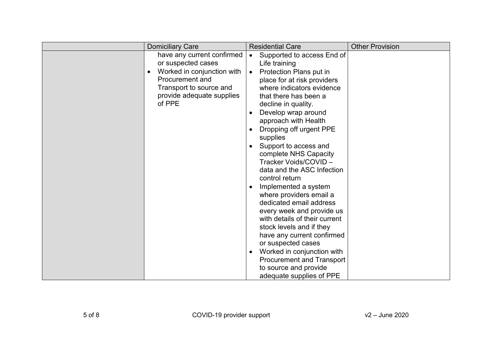|           | <b>Domiciliary Care</b>                                                                                                                                                    | <b>Residential Care</b>                                                                                                                                                                                                                                                                                                                                                                                                                                                                                                                                                                                                                                                                                                                                                         | <b>Other Provision</b> |
|-----------|----------------------------------------------------------------------------------------------------------------------------------------------------------------------------|---------------------------------------------------------------------------------------------------------------------------------------------------------------------------------------------------------------------------------------------------------------------------------------------------------------------------------------------------------------------------------------------------------------------------------------------------------------------------------------------------------------------------------------------------------------------------------------------------------------------------------------------------------------------------------------------------------------------------------------------------------------------------------|------------------------|
| $\bullet$ | have any current confirmed<br>or suspected cases<br>Worked in conjunction with<br><b>Procurement and</b><br>Transport to source and<br>provide adequate supplies<br>of PPE | Supported to access End of<br>$\bullet$<br>Life training<br>Protection Plans put in<br>$\bullet$<br>place for at risk providers<br>where indicators evidence<br>that there has been a<br>decline in quality.<br>Develop wrap around<br>approach with Health<br>Dropping off urgent PPE<br>supplies<br>Support to access and<br>complete NHS Capacity<br>Tracker Voids/COVID-<br>data and the ASC Infection<br>control return<br>Implemented a system<br>where providers email a<br>dedicated email address<br>every week and provide us<br>with details of their current<br>stock levels and if they<br>have any current confirmed<br>or suspected cases<br>Worked in conjunction with<br><b>Procurement and Transport</b><br>to source and provide<br>adequate supplies of PPE |                        |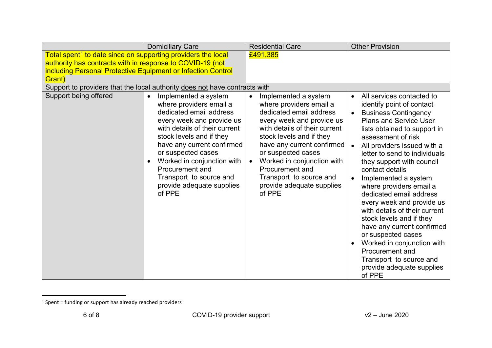<span id="page-5-0"></span>

|                                                                                                                           | <b>Domiciliary Care</b>                                                                                                                                                                                                                                                                                                                                               | <b>Residential Care</b>                                                                                                                                                                                                                                                                                                                                               | <b>Other Provision</b>                                                                                                                                                                                                                                                                                                                                                                                                                                                                                                                                                                                                                                                       |
|---------------------------------------------------------------------------------------------------------------------------|-----------------------------------------------------------------------------------------------------------------------------------------------------------------------------------------------------------------------------------------------------------------------------------------------------------------------------------------------------------------------|-----------------------------------------------------------------------------------------------------------------------------------------------------------------------------------------------------------------------------------------------------------------------------------------------------------------------------------------------------------------------|------------------------------------------------------------------------------------------------------------------------------------------------------------------------------------------------------------------------------------------------------------------------------------------------------------------------------------------------------------------------------------------------------------------------------------------------------------------------------------------------------------------------------------------------------------------------------------------------------------------------------------------------------------------------------|
| Total spent <sup>1</sup> to date since on supporting providers the local                                                  |                                                                                                                                                                                                                                                                                                                                                                       | £491,385                                                                                                                                                                                                                                                                                                                                                              |                                                                                                                                                                                                                                                                                                                                                                                                                                                                                                                                                                                                                                                                              |
| authority has contracts with in response to COVID-19 (not<br>including Personal Protective Equipment or Infection Control |                                                                                                                                                                                                                                                                                                                                                                       |                                                                                                                                                                                                                                                                                                                                                                       |                                                                                                                                                                                                                                                                                                                                                                                                                                                                                                                                                                                                                                                                              |
| Grant)                                                                                                                    |                                                                                                                                                                                                                                                                                                                                                                       |                                                                                                                                                                                                                                                                                                                                                                       |                                                                                                                                                                                                                                                                                                                                                                                                                                                                                                                                                                                                                                                                              |
|                                                                                                                           | Support to providers that the local authority does not have contracts with                                                                                                                                                                                                                                                                                            |                                                                                                                                                                                                                                                                                                                                                                       |                                                                                                                                                                                                                                                                                                                                                                                                                                                                                                                                                                                                                                                                              |
| Support being offered                                                                                                     | Implemented a system<br>$\bullet$<br>where providers email a<br>dedicated email address<br>every week and provide us<br>with details of their current<br>stock levels and if they<br>have any current confirmed<br>or suspected cases<br>Worked in conjunction with<br>$\bullet$<br>Procurement and<br>Transport to source and<br>provide adequate supplies<br>of PPE | Implemented a system<br>$\bullet$<br>where providers email a<br>dedicated email address<br>every week and provide us<br>with details of their current<br>stock levels and if they<br>have any current confirmed<br>or suspected cases<br>Worked in conjunction with<br>$\bullet$<br>Procurement and<br>Transport to source and<br>provide adequate supplies<br>of PPE | All services contacted to<br>$\bullet$<br>identify point of contact<br><b>Business Contingency</b><br>$\bullet$<br><b>Plans and Service User</b><br>lists obtained to support in<br>assessment of risk<br>All providers issued with a<br>letter to send to individuals<br>they support with council<br>contact details<br>Implemented a system<br>where providers email a<br>dedicated email address<br>every week and provide us<br>with details of their current<br>stock levels and if they<br>have any current confirmed<br>or suspected cases<br>Worked in conjunction with<br><b>Procurement and</b><br>Transport to source and<br>provide adequate supplies<br>of PPE |

l

 $1$  Spent = funding or support has already reached providers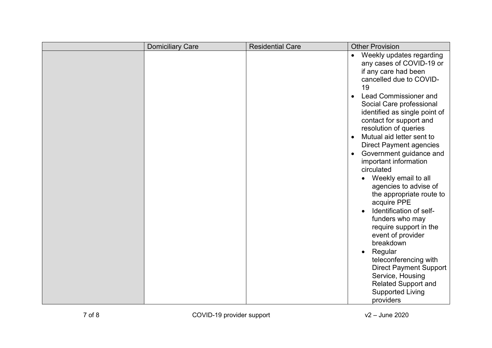| <b>Domiciliary Care</b> | Residential Care | <b>Other Provision</b>                                                                                                                                                                                                                                                                                                                                                                                                                                                                                                                                                                                                                                                                                                                                 |
|-------------------------|------------------|--------------------------------------------------------------------------------------------------------------------------------------------------------------------------------------------------------------------------------------------------------------------------------------------------------------------------------------------------------------------------------------------------------------------------------------------------------------------------------------------------------------------------------------------------------------------------------------------------------------------------------------------------------------------------------------------------------------------------------------------------------|
|                         |                  | Weekly updates regarding<br>any cases of COVID-19 or<br>if any care had been<br>cancelled due to COVID-<br>19<br><b>Lead Commissioner and</b><br>Social Care professional<br>identified as single point of<br>contact for support and<br>resolution of queries<br>Mutual aid letter sent to<br><b>Direct Payment agencies</b><br>Government guidance and<br>important information<br>circulated<br>Weekly email to all<br>agencies to advise of<br>the appropriate route to<br>acquire PPE<br>Identification of self-<br>funders who may<br>require support in the<br>event of provider<br>breakdown<br>Regular<br>teleconferencing with<br><b>Direct Payment Support</b><br>Service, Housing<br><b>Related Support and</b><br><b>Supported Living</b> |
|                         |                  | providers                                                                                                                                                                                                                                                                                                                                                                                                                                                                                                                                                                                                                                                                                                                                              |